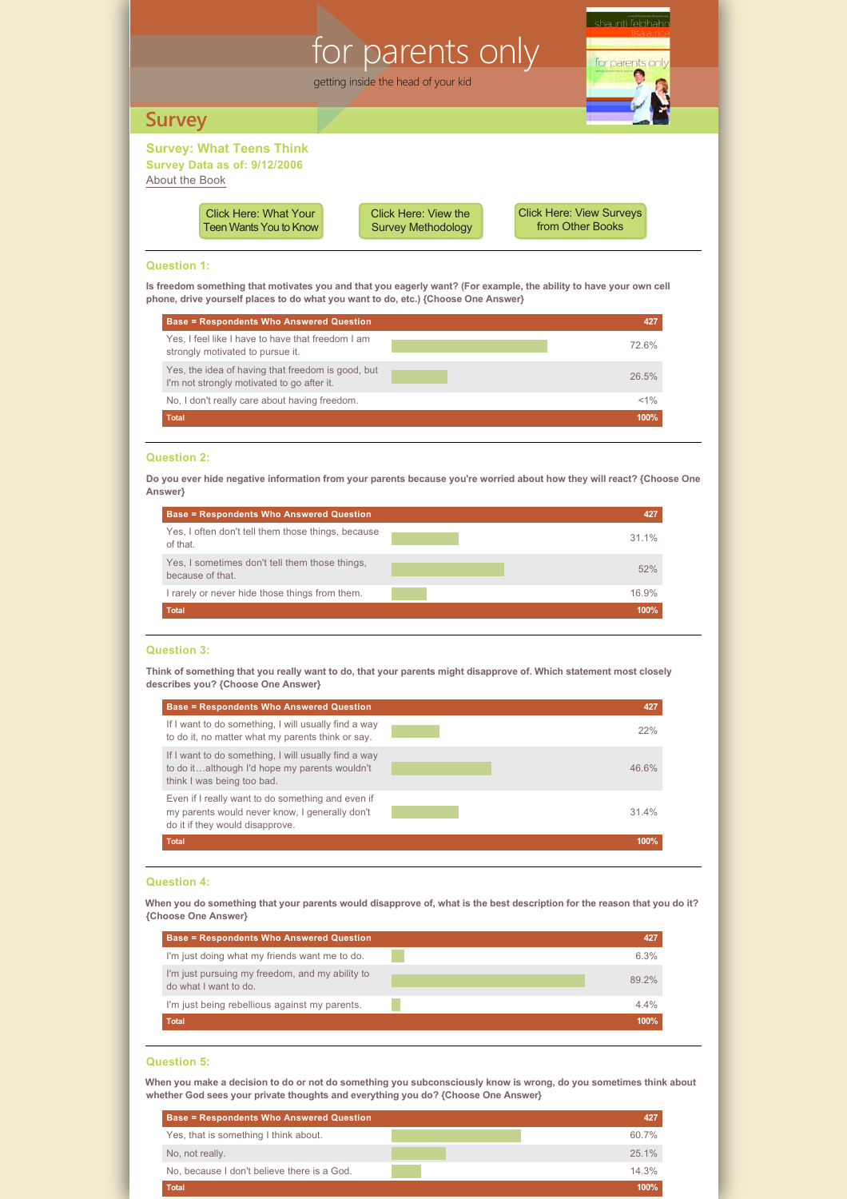# **Survey: What Teens Think survey SurveySurvey Data as of: 9/12/2006** [About the Book](http://www.shaunti.com/book/for-parents-only/) for parents only getting inside the head of your kid



[Click Here: View the](#page-4-0)  Survey Methodology [Click Here: View Surveys](http://www.shaunti.com/research) from Other Books

# **Question 1:**

**Is freedom something that motivates you and that you eagerly want? (For example, the ability to have your own cell phone, drive yourself places to do what you want to do, etc.) {Choose One Answer}**

| <b>Base = Respondents Who Answered Question</b>                                                 |       |
|-------------------------------------------------------------------------------------------------|-------|
| Yes. I feel like I have to have that freedom I am<br>strongly motivated to pursue it.           | 72.6% |
| Yes, the idea of having that freedom is good, but<br>I'm not strongly motivated to go after it. | 26.5% |
| No, I don't really care about having freedom.                                                   | <1%   |
| <b>Total</b>                                                                                    | 100%  |

# **Question 2:**

**Do you ever hide negative information from your parents because you're worried about how they will react? {Choose One Answer}**

| <b>Base = Respondents Who Answered Question</b>                    | 427   |
|--------------------------------------------------------------------|-------|
| Yes, I often don't tell them those things, because<br>of that.     | 31.1% |
| Yes, I sometimes don't tell them those things,<br>because of that. | 52%   |
| I rarely or never hide those things from them.                     | 16.9% |
| <b>Total</b>                                                       | 100%  |

#### **Question 3:**

**Think of something that you really want to do, that your parents might disapprove of. Which statement most closely describes you? {Choose One Answer}**

| <b>Base = Respondents Who Answered Question</b>                                                                                        | 427   |
|----------------------------------------------------------------------------------------------------------------------------------------|-------|
| If I want to do something, I will usually find a way<br>to do it, no matter what my parents think or say.                              | 22%   |
| If I want to do something, I will usually find a way<br>to do italthough I'd hope my parents wouldn't<br>think I was being too bad.    | 46.6% |
| Even if I really want to do something and even if<br>my parents would never know, I generally don't<br>do it if they would disapprove. | 31.4% |
| <b>Total</b>                                                                                                                           | 100%  |
|                                                                                                                                        |       |

# **Question 4:**

**When you do something that your parents would disapprove of, what is the best description for the reason that you do it? {Choose One Answer}**

| <b>Base = Respondents Who Answered Question</b>                          | 427   |
|--------------------------------------------------------------------------|-------|
| I'm just doing what my friends want me to do.                            | 6.3%  |
| I'm just pursuing my freedom, and my ability to<br>do what I want to do. | 89.2% |
| I'm just being rebellious against my parents.                            | 4.4%  |
| <b>Total</b>                                                             | 100%  |

# **Question 5:**

**When you make a decision to do or not do something you subconsciously know is wrong, do you sometimes think about whether God sees your private thoughts and everything you do? {Choose One Answer}**

| <b>Base = Respondents Who Answered Question</b> |       |
|-------------------------------------------------|-------|
| Yes, that is something I think about.           | 60.7% |
| No, not really.                                 | 25.1% |
| No, because I don't believe there is a God.     | 14.3% |
| <b>Total</b>                                    | 100%  |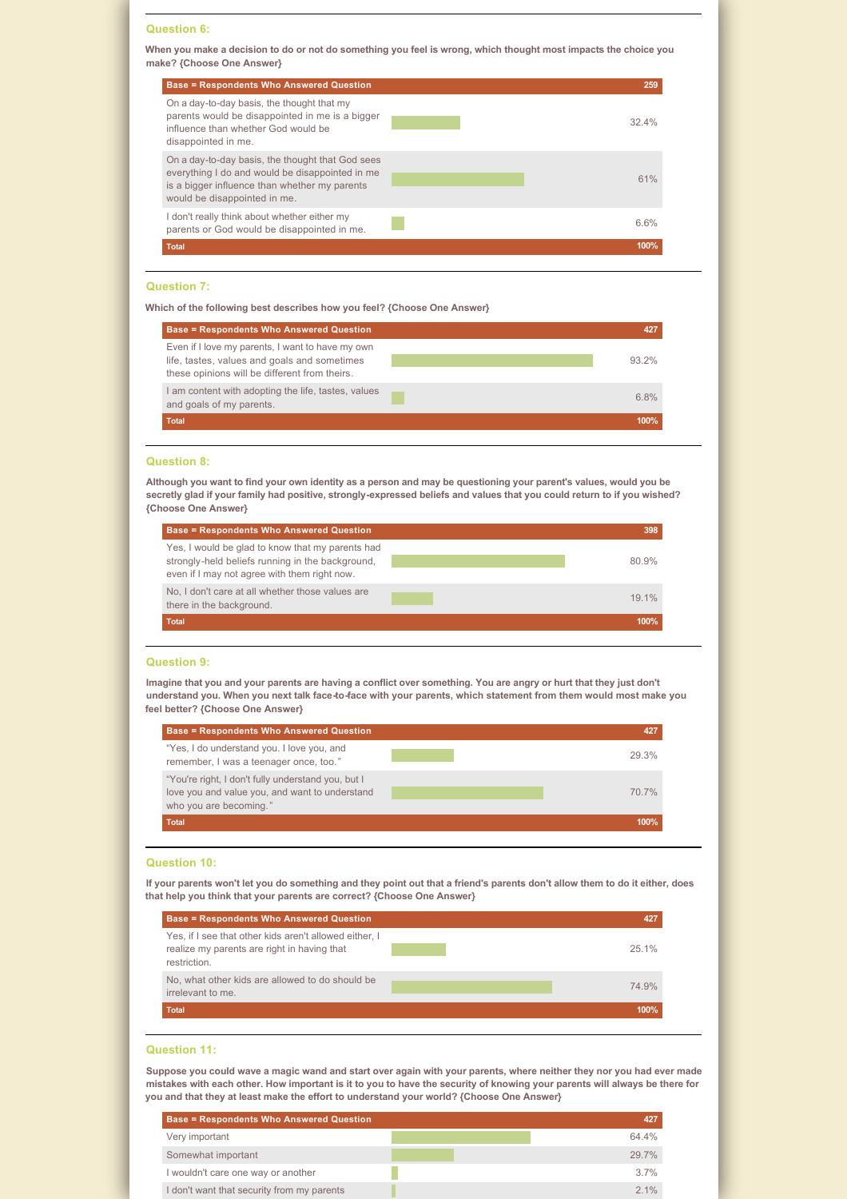### **Question 6:**

**When you make a decision to do or not do something you feel is wrong, which thought most impacts the choice you make? {Choose One Answer}**

| <b>Base = Respondents Who Answered Question</b>                                                                                                                                      | 259  |
|--------------------------------------------------------------------------------------------------------------------------------------------------------------------------------------|------|
| On a day-to-day basis, the thought that my<br>parents would be disappointed in me is a bigger<br>influence than whether God would be<br>disappointed in me.                          | 324% |
| On a day-to-day basis, the thought that God sees<br>everything I do and would be disappointed in me<br>is a bigger influence than whether my parents<br>would be disappointed in me. | 61%  |
| don't really think about whether either my<br>parents or God would be disappointed in me.                                                                                            | 6.6% |
| <b>Total</b>                                                                                                                                                                         | 100% |

### **Question 7:**

**Which of the following best describes how you feel? {Choose One Answer}**

| <b>Base = Respondents Who Answered Question</b>                                                                                                   |          |
|---------------------------------------------------------------------------------------------------------------------------------------------------|----------|
| Even if I love my parents, I want to have my own<br>life, tastes, values and goals and sometimes<br>these opinions will be different from theirs. | $93.2\%$ |
| I am content with adopting the life, tastes, values<br>and goals of my parents.                                                                   | 6.8%     |
| <b>Total</b>                                                                                                                                      | 100%     |

# **Question 8:**

Although you want to find your own identity as a person and may be questioning your parent's values, would you be secretly glad if your family had positive, strongly-expressed beliefs and values that you could return to if you wished? **{Choose One Answer}**

| <b>Base = Respondents Who Answered Question</b>                                                                                                      | 398   |
|------------------------------------------------------------------------------------------------------------------------------------------------------|-------|
| Yes, I would be glad to know that my parents had<br>strongly-held beliefs running in the background,<br>even if I may not agree with them right now. | 80.9% |
| No, I don't care at all whether those values are<br>there in the background.                                                                         | 19 1% |
| <b>Total</b>                                                                                                                                         | 100%  |

#### **Question 9:**

**Imagine that you and your parents are having a conflict over something. You are angry or hurt that they just don't understand you. When you next talk face-to-face with your parents, which statement from them would most make you feel better? {Choose One Answer}**

| <b>Base = Respondents Who Answered Question</b>                                                                                | 427   |
|--------------------------------------------------------------------------------------------------------------------------------|-------|
| "Yes, I do understand you. I love you, and<br>remember, I was a teenager once, too."                                           | 29.3% |
| "You're right, I don't fully understand you, but I<br>love you and value you, and want to understand<br>who you are becoming." | 70.7% |
| <b>Total</b>                                                                                                                   | 100%  |

# **Question 10:**

**If your parents won't let you do something and they point out that a friend's parents don't allow them to do it either, does that help you think that your parents are correct? {Choose One Answer}**



### **Question 11:**

**Suppose you could wave a magic wand and start over again with your parents, where neither they nor you had ever made mistakes with each other. How important is it to you to have the security of knowing your parents will always be there for you and that they at least make the effort to understand your world? {Choose One Answer}**

| <b>Base = Respondents Who Answered Question</b> |       |
|-------------------------------------------------|-------|
| Very important                                  | 64 4% |
| Somewhat important                              | 297%  |
| I wouldn't care one way or another              | 37%   |
| I don't want that security from my parents      | 21%   |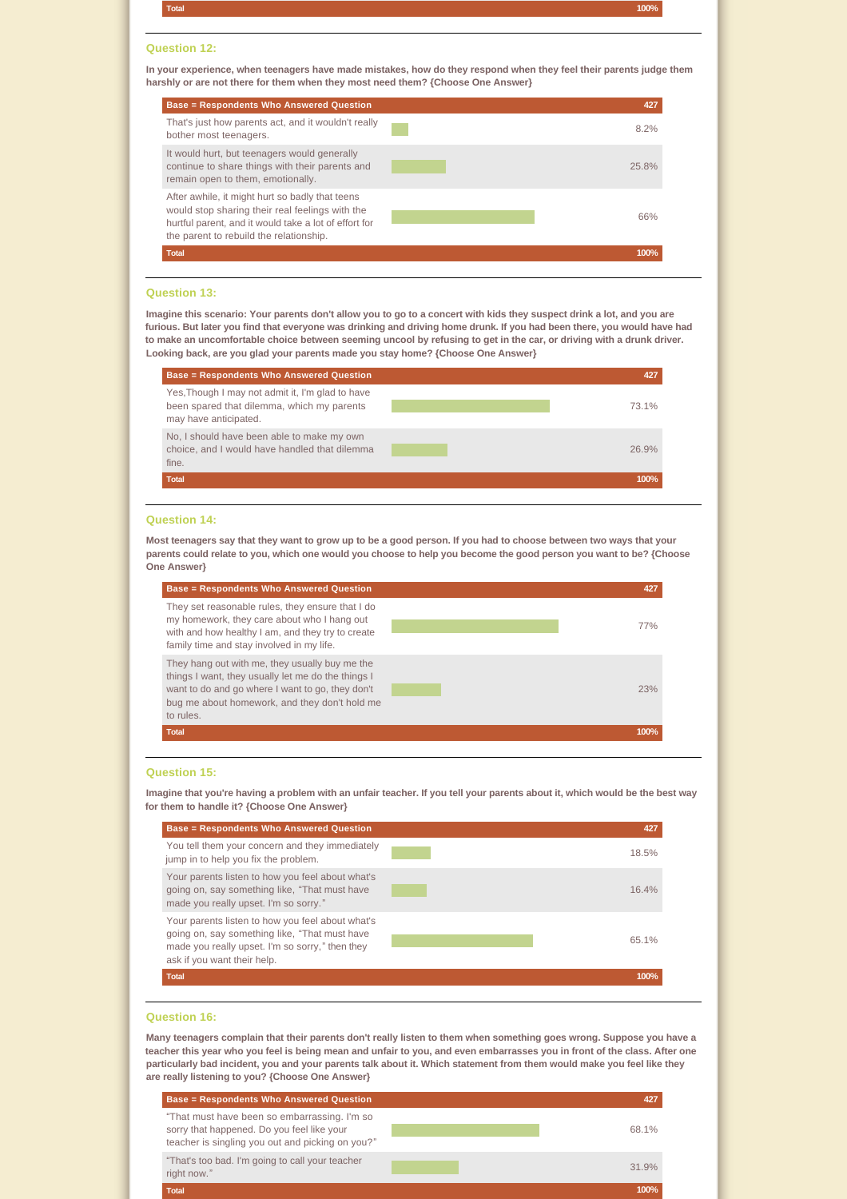**Total 100%**

#### **Question 12:**

**In your experience, when teenagers have made mistakes, how do they respond when they feel their parents judge them harshly or are not there for them when they most need them? {Choose One Answer}**



# **Question 13:**

**Imagine this scenario: Your parents don't allow you to go to a concert with kids they suspect drink a lot, and you are furious. But later you find that everyone was drinking and driving home drunk. If you had been there, you would have had to make an uncomfortable choice between seeming uncool by refusing to get in the car, or driving with a drunk driver. Looking back, are you glad your parents made you stay home? {Choose One Answer}**

| <b>Base = Respondents Who Answered Question</b>                                                                         | 427   |
|-------------------------------------------------------------------------------------------------------------------------|-------|
| Yes, Though I may not admit it, I'm glad to have<br>been spared that dilemma, which my parents<br>may have anticipated. | 73.1% |
| No, I should have been able to make my own<br>choice, and I would have handled that dilemma<br>fine.                    | 26.9% |
| <b>Total</b>                                                                                                            | 100%  |

#### **Question 14:**

**Most teenagers say that they want to grow up to be a good person. If you had to choose between two ways that your parents could relate to you, which one would you choose to help you become the good person you want to be? {Choose One Answer}**



#### **Question 15:**

**Imagine that you're having a problem with an unfair teacher. If you tell your parents about it, which would be the best way for them to handle it? {Choose One Answer}**



#### **Question 16:**

**Many teenagers complain that their parents don't really listen to them when something goes wrong. Suppose you have a teacher this year who you feel is being mean and unfair to you, and even embarrasses you in front of the class. After one particularly bad incident, you and your parents talk about it. Which statement from them would make you feel like they are really listening to you? {Choose One Answer}**

| <b>Base = Respondents Who Answered Question</b>                                                                                                | 427   |
|------------------------------------------------------------------------------------------------------------------------------------------------|-------|
| "That must have been so embarrassing. I'm so<br>sorry that happened. Do you feel like your<br>teacher is singling you out and picking on you?" | 68.1% |
| "That's too bad. I'm going to call your teacher<br>right now."                                                                                 | 31.9% |
| <b>Total</b>                                                                                                                                   | 100%  |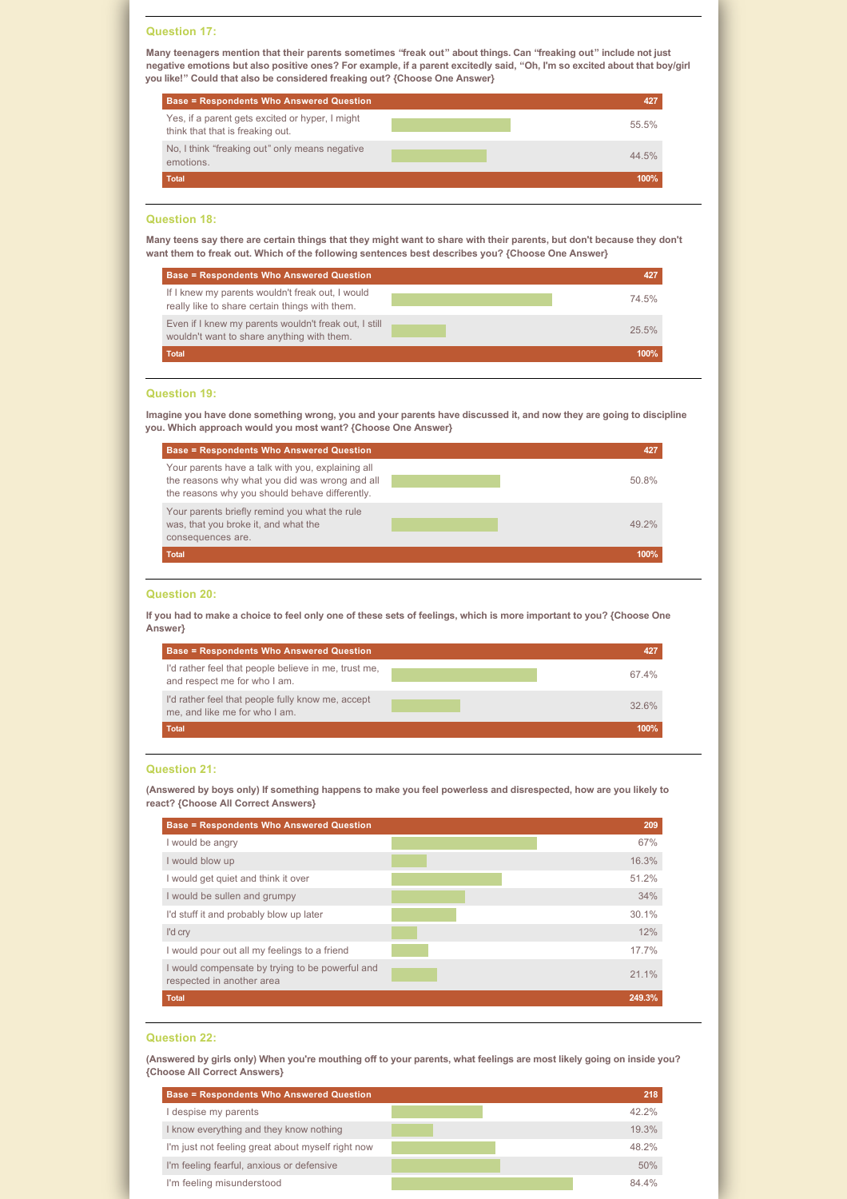#### **Question 17:**

**Many teenagers mention that their parents sometimes "freak out" about things. Can "freaking out" include not just negative emotions but also positive ones? For example, if a parent excitedly said, "Oh, I'm so excited about that boy/girl you like!" Could that also be considered freaking out? {Choose One Answer}**

| <b>Base = Respondents Who Answered Question</b>                                     | 427   |
|-------------------------------------------------------------------------------------|-------|
| Yes, if a parent gets excited or hyper, I might<br>think that that is freaking out. | 55.5% |
| No, I think "freaking out" only means negative<br>emotions.                         | 44.5% |
| <b>Total</b>                                                                        | 100%  |

# **Question 18:**

**Many teens say there are certain things that they might want to share with their parents, but don't because they don't want them to freak out. Which of the following sentences best describes you? {Choose One Answer}**

| <b>Base = Respondents Who Answered Question</b>                                                     | 427   |
|-----------------------------------------------------------------------------------------------------|-------|
| If I knew my parents wouldn't freak out, I would<br>really like to share certain things with them.  | 74.5% |
| Even if I knew my parents wouldn't freak out, I still<br>wouldn't want to share anything with them. | 25.5% |
| <b>Total</b>                                                                                        | 100%  |

# **Question 19:**

**Imagine you have done something wrong, you and your parents have discussed it, and now they are going to discipline you. Which approach would you most want? {Choose One Answer}**

| <b>Base = Respondents Who Answered Question</b>                                                                                                       | 427   |
|-------------------------------------------------------------------------------------------------------------------------------------------------------|-------|
| Your parents have a talk with you, explaining all<br>the reasons why what you did was wrong and all<br>the reasons why you should behave differently. | 50.8% |
| Your parents briefly remind you what the rule<br>was, that you broke it, and what the<br>consequences are.                                            | 49 2% |
| <b>Total</b>                                                                                                                                          | 100%  |

# **Question 20:**

**If you had to make a choice to feel only one of these sets of feelings, which is more important to you? {Choose One Answer}**

| <b>Base = Respondents Who Answered Question</b>                                      | 427   |
|--------------------------------------------------------------------------------------|-------|
| I'd rather feel that people believe in me, trust me,<br>and respect me for who I am. | 67.4% |
| I'd rather feel that people fully know me, accept<br>me, and like me for who I am.   | 326%  |
| <b>Total</b>                                                                         | 100%  |

# **Question 21:**

**(Answered by boys only) If something happens to make you feel powerless and disrespected, how are you likely to react? {Choose All Correct Answers}**

| <b>Base = Respondents Who Answered Question</b>                              | 209    |
|------------------------------------------------------------------------------|--------|
| I would be angry                                                             | 67%    |
| I would blow up                                                              | 16.3%  |
| I would get quiet and think it over                                          | 51.2%  |
| I would be sullen and grumpy                                                 | 34%    |
| I'd stuff it and probably blow up later                                      | 30.1%  |
| I'd cry                                                                      | 12%    |
| I would pour out all my feelings to a friend                                 | 17.7%  |
| I would compensate by trying to be powerful and<br>respected in another area | 21.1%  |
| <b>Total</b>                                                                 | 249.3% |

# **Question 22:**

**(Answered by girls only) When you're mouthing off to your parents, what feelings are most likely going on inside you? {Choose All Correct Answers}**

| <b>Base = Respondents Who Answered Question</b>   | 218      |
|---------------------------------------------------|----------|
| despise my parents                                | $42.2\%$ |
| I know everything and they know nothing           | 19.3%    |
| I'm just not feeling great about myself right now | 48.2%    |
| I'm feeling fearful, anxious or defensive         | 50%      |
| I'm feeling misunderstood                         | 84 4%    |